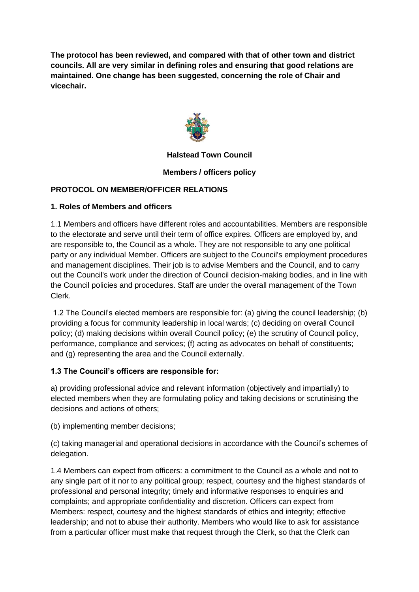**The protocol has been reviewed, and compared with that of other town and district councils. All are very similar in defining roles and ensuring that good relations are maintained. One change has been suggested, concerning the role of Chair and vicechair.**



# **Halstead Town Council**

## **Members / officers policy**

# **PROTOCOL ON MEMBER/OFFICER RELATIONS**

## **1. Roles of Members and officers**

1.1 Members and officers have different roles and accountabilities. Members are responsible to the electorate and serve until their term of office expires. Officers are employed by, and are responsible to, the Council as a whole. They are not responsible to any one political party or any individual Member. Officers are subject to the Council's employment procedures and management disciplines. Their job is to advise Members and the Council, and to carry out the Council's work under the direction of Council decision-making bodies, and in line with the Council policies and procedures. Staff are under the overall management of the Town Clerk.

1.2 The Council's elected members are responsible for: (a) giving the council leadership; (b) providing a focus for community leadership in local wards; (c) deciding on overall Council policy; (d) making decisions within overall Council policy; (e) the scrutiny of Council policy, performance, compliance and services; (f) acting as advocates on behalf of constituents; and (g) representing the area and the Council externally.

## **1.3 The Council's officers are responsible for:**

a) providing professional advice and relevant information (objectively and impartially) to elected members when they are formulating policy and taking decisions or scrutinising the decisions and actions of others;

(b) implementing member decisions;

(c) taking managerial and operational decisions in accordance with the Council's schemes of delegation.

1.4 Members can expect from officers: a commitment to the Council as a whole and not to any single part of it nor to any political group; respect, courtesy and the highest standards of professional and personal integrity; timely and informative responses to enquiries and complaints; and appropriate confidentiality and discretion. Officers can expect from Members: respect, courtesy and the highest standards of ethics and integrity; effective leadership; and not to abuse their authority. Members who would like to ask for assistance from a particular officer must make that request through the Clerk, so that the Clerk can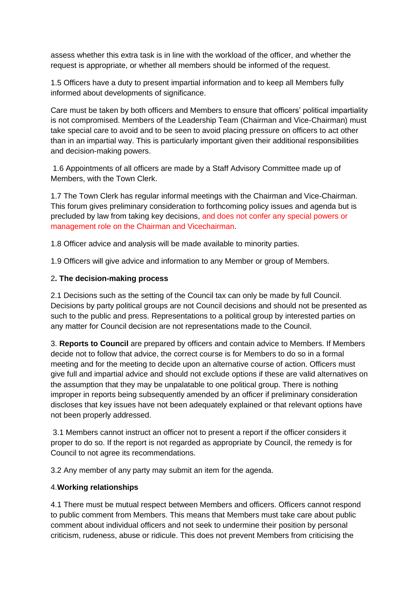assess whether this extra task is in line with the workload of the officer, and whether the request is appropriate, or whether all members should be informed of the request.

1.5 Officers have a duty to present impartial information and to keep all Members fully informed about developments of significance.

Care must be taken by both officers and Members to ensure that officers' political impartiality is not compromised. Members of the Leadership Team (Chairman and Vice-Chairman) must take special care to avoid and to be seen to avoid placing pressure on officers to act other than in an impartial way. This is particularly important given their additional responsibilities and decision-making powers.

1.6 Appointments of all officers are made by a Staff Advisory Committee made up of Members, with the Town Clerk.

1.7 The Town Clerk has regular informal meetings with the Chairman and Vice-Chairman. This forum gives preliminary consideration to forthcoming policy issues and agenda but is precluded by law from taking key decisions, and does not confer any special powers or management role on the Chairman and Vicechairman.

1.8 Officer advice and analysis will be made available to minority parties.

1.9 Officers will give advice and information to any Member or group of Members.

# 2**. The decision-making process**

2.1 Decisions such as the setting of the Council tax can only be made by full Council. Decisions by party political groups are not Council decisions and should not be presented as such to the public and press. Representations to a political group by interested parties on any matter for Council decision are not representations made to the Council.

3. **Reports to Council** are prepared by officers and contain advice to Members. If Members decide not to follow that advice, the correct course is for Members to do so in a formal meeting and for the meeting to decide upon an alternative course of action. Officers must give full and impartial advice and should not exclude options if these are valid alternatives on the assumption that they may be unpalatable to one political group. There is nothing improper in reports being subsequently amended by an officer if preliminary consideration discloses that key issues have not been adequately explained or that relevant options have not been properly addressed.

3.1 Members cannot instruct an officer not to present a report if the officer considers it proper to do so. If the report is not regarded as appropriate by Council, the remedy is for Council to not agree its recommendations.

3.2 Any member of any party may submit an item for the agenda.

## 4.**Working relationships**

4.1 There must be mutual respect between Members and officers. Officers cannot respond to public comment from Members. This means that Members must take care about public comment about individual officers and not seek to undermine their position by personal criticism, rudeness, abuse or ridicule. This does not prevent Members from criticising the